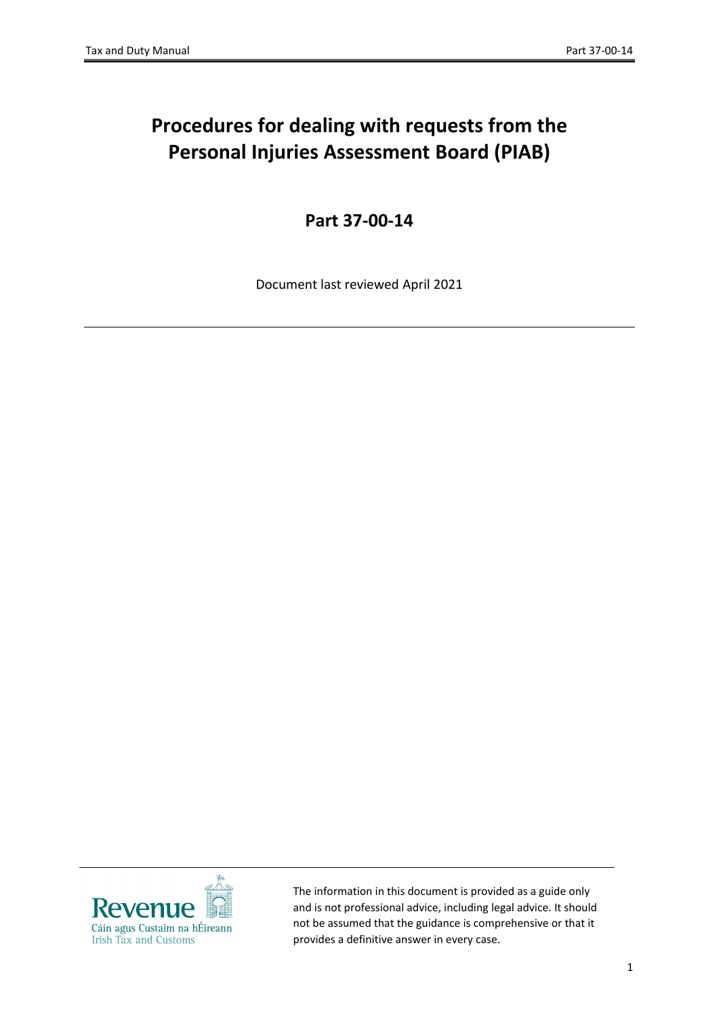# **Procedures for dealing with requests from the Personal Injuries Assessment Board (PIAB)**

**Part 37-00-14**

Document last reviewed April 2021



The information in this document is provided as a guide only and is not professional advice, including legal advice. It should not be assumed that the guidance is comprehensive or that it provides a definitive answer in every case.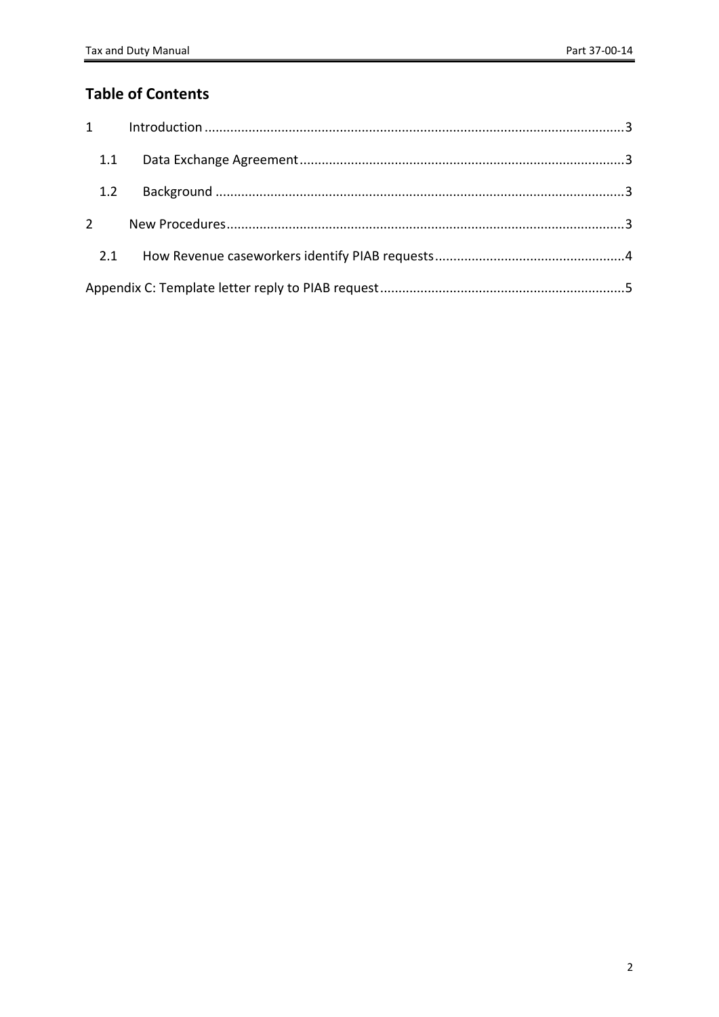### **Table of Contents**

| 1.2        |  |
|------------|--|
| $2^{\sim}$ |  |
|            |  |
|            |  |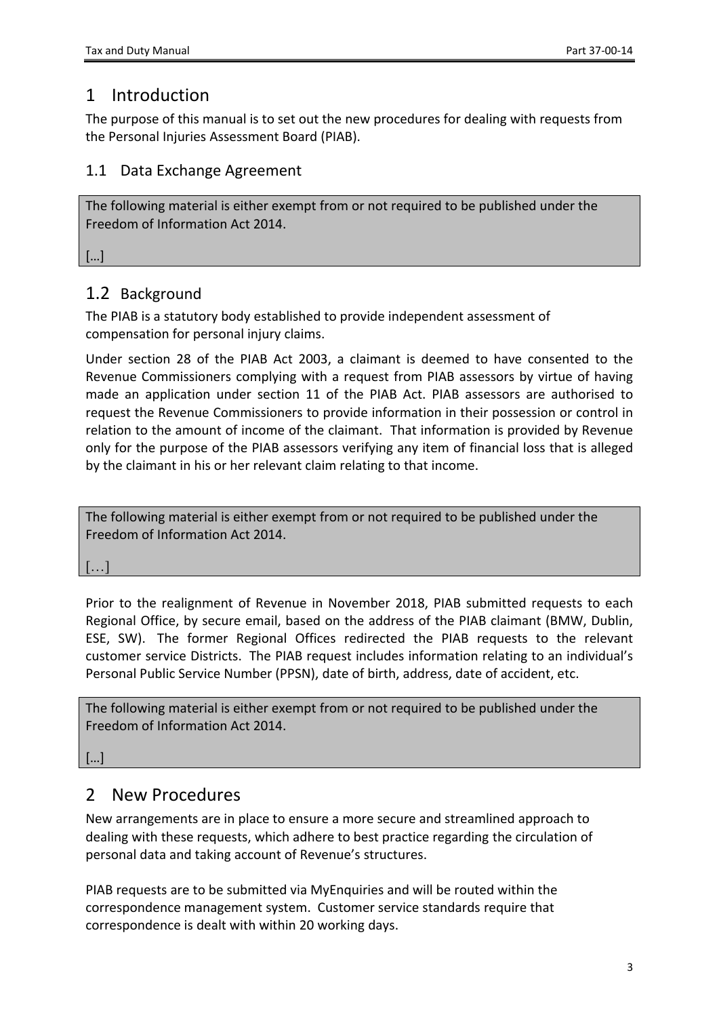# <span id="page-2-0"></span>1 Introduction

The purpose of this manual is to set out the new procedures for dealing with requests from the Personal Injuries Assessment Board (PIAB).

#### <span id="page-2-1"></span>1.1 Data Exchange Agreement

The following material is either exempt from or not required to be published under the Freedom of Information Act 2014.

<span id="page-2-2"></span>[…]

#### 1.2 Background

The PIAB is a statutory body established to provide independent assessment of compensation for personal injury claims.

Under section 28 of the PIAB Act 2003, a claimant is deemed to have consented to the Revenue Commissioners complying with a request from PIAB assessors by virtue of having made an application under section 11 of the PIAB Act. PIAB assessors are authorised to request the Revenue Commissioners to provide information in their possession or control in relation to the amount of income of the claimant. That information is provided by Revenue only for the purpose of the PIAB assessors verifying any item of financial loss that is alleged by the claimant in his or her relevant claim relating to that income.

| The following material is either exempt from or not required to be published under the |
|----------------------------------------------------------------------------------------|
| Freedom of Information Act 2014.                                                       |

[…]

Prior to the realignment of Revenue in November 2018, PIAB submitted requests to each Regional Office, by secure email, based on the address of the PIAB claimant (BMW, Dublin, ESE, SW). The former Regional Offices redirected the PIAB requests to the relevant customer service Districts. The PIAB request includes information relating to an individual's Personal Public Service Number (PPSN), date of birth, address, date of accident, etc.

The following material is either exempt from or not required to be published under the Freedom of Information Act 2014.

[…]

## <span id="page-2-3"></span>2 New Procedures

New arrangements are in place to ensure a more secure and streamlined approach to dealing with these requests, which adhere to best practice regarding the circulation of personal data and taking account of Revenue's structures.

PIAB requests are to be submitted via MyEnquiries and will be routed within the correspondence management system. Customer service standards require that correspondence is dealt with within 20 working days.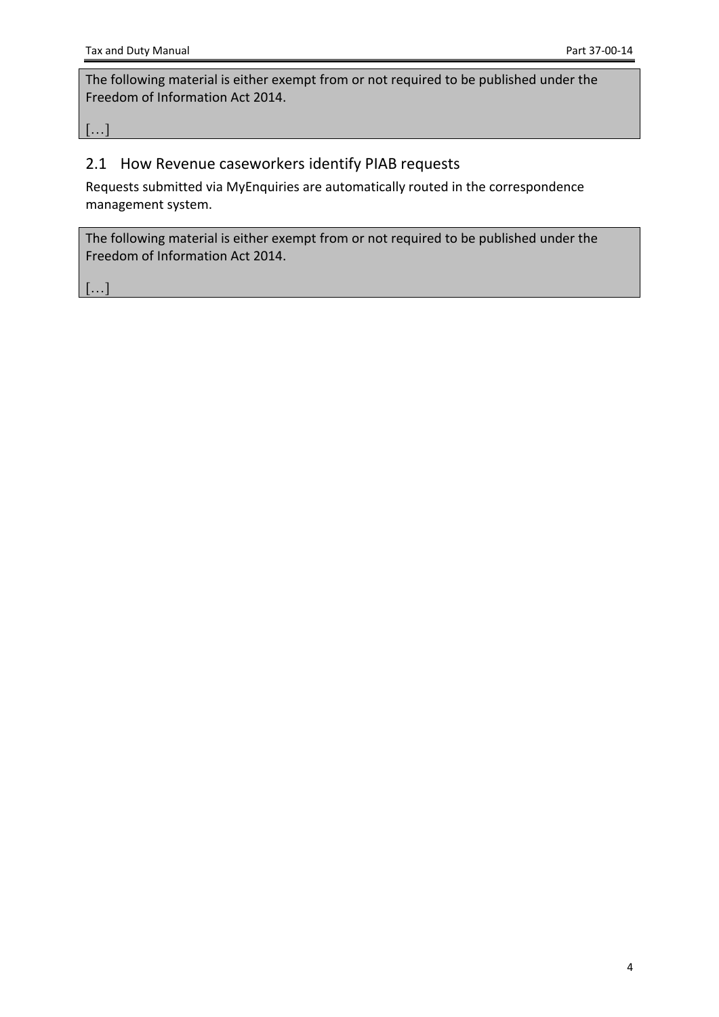The following material is either exempt from or not required to be published under the Freedom of Information Act 2014.

[…]

#### <span id="page-3-0"></span>2.1 How Revenue caseworkers identify PIAB requests

Requests submitted via MyEnquiries are automatically routed in the correspondence management system.

The following material is either exempt from or not required to be published under the Freedom of Information Act 2014.

 $[...]$